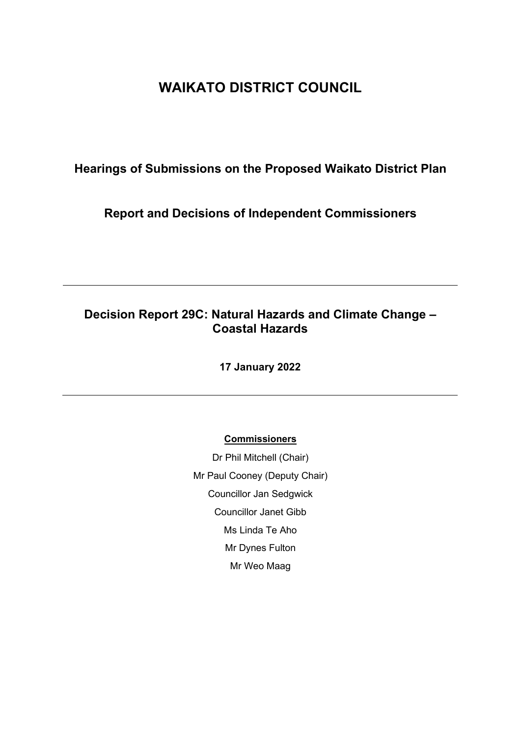# **WAIKATO DISTRICT COUNCIL**

## **Hearings of Submissions on the Proposed Waikato District Plan**

## **Report and Decisions of Independent Commissioners**

## **Decision Report 29C: Natural Hazards and Climate Change – Coastal Hazards**

**17 January 2022**

## **Commissioners**

Dr Phil Mitchell (Chair) Mr Paul Cooney (Deputy Chair) Councillor Jan Sedgwick Councillor Janet Gibb Ms Linda Te Aho Mr Dynes Fulton Mr Weo Maag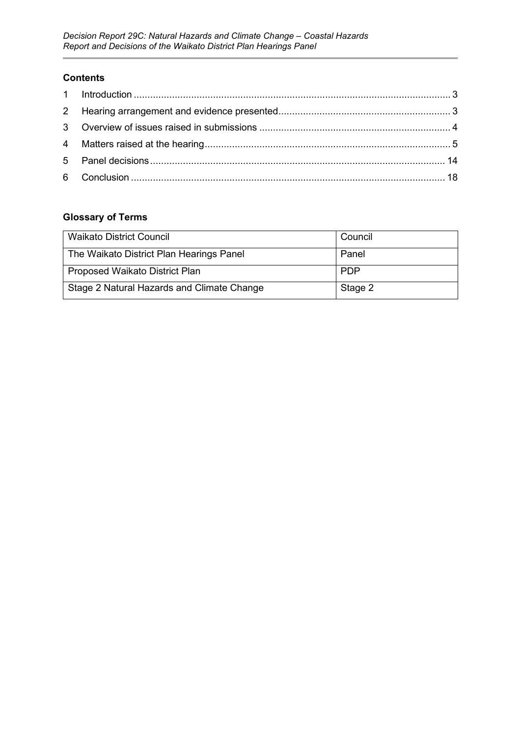## **Contents**

## **Glossary of Terms**

| <b>Waikato District Council</b>            | Council    |
|--------------------------------------------|------------|
| The Waikato District Plan Hearings Panel   | Panel      |
| Proposed Waikato District Plan             | <b>PDP</b> |
| Stage 2 Natural Hazards and Climate Change | Stage 2    |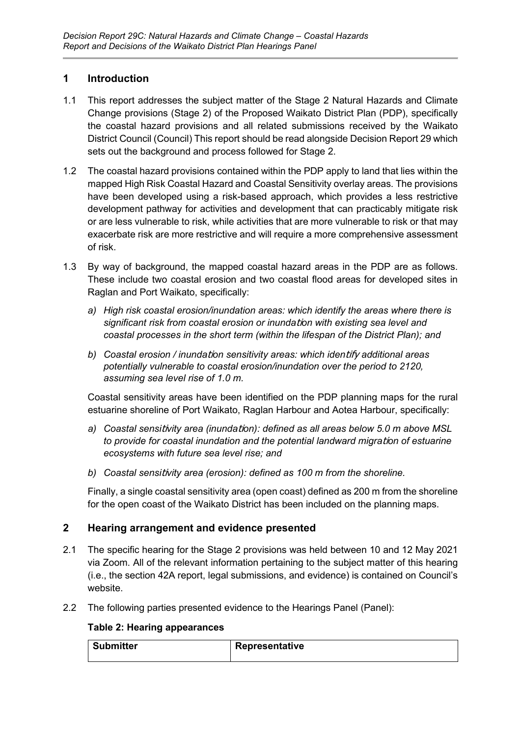## <span id="page-2-0"></span>**1 Introduction**

- 1.1 This report addresses the subject matter of the Stage 2 Natural Hazards and Climate Change provisions (Stage 2) of the Proposed Waikato District Plan (PDP), specifically the coastal hazard provisions and all related submissions received by the Waikato District Council (Council) This report should be read alongside Decision Report 29 which sets out the background and process followed for Stage 2.
- 1.2 The coastal hazard provisions contained within the PDP apply to land that lies within the mapped High Risk Coastal Hazard and Coastal Sensitivity overlay areas. The provisions have been developed using a risk-based approach, which provides a less restrictive development pathway for activities and development that can practicably mitigate risk or are less vulnerable to risk, while activities that are more vulnerable to risk or that may exacerbate risk are more restrictive and will require a more comprehensive assessment of risk.
- 1.3 By way of background, the mapped coastal hazard areas in the PDP are as follows. These include two coastal erosion and two coastal flood areas for developed sites in Raglan and Port Waikato, specifically:
	- *a) High risk coastal erosion/inundation areas: which identify the areas where there is significant risk from coastal erosion or inunda*ti*on with existing sea level and coastal processes in the short term (within the lifespan of the District Plan); and*
	- *b) Coastal erosion / inunda*ti*on sensitivity areas: which iden*tify *additional areas potentially vulnerable to coastal erosion/inundation over the period to 2120, assuming sea level rise of 1.0 m.*

Coastal sensitivity areas have been identified on the PDP planning maps for the rural estuarine shoreline of Port Waikato, Raglan Harbour and Aotea Harbour, specifically:

- *a) Coastal sensi*ti*vity area (inunda*ti*on): defined as all areas below 5.0 m above MSL to provide for coastal inundation and the potential landward migra*ti*on of estuarine ecosystems with future sea level rise; and*
- *b) Coastal sensi*ti*vity area (erosion): defined as 100 m from the shoreline.*

Finally, a single coastal sensitivity area (open coast) defined as 200 m from the shoreline for the open coast of the Waikato District has been included on the planning maps.

## <span id="page-2-1"></span>**2 Hearing arrangement and evidence presented**

- 2.1 The specific hearing for the Stage 2 provisions was held between 10 and 12 May 2021 via Zoom. All of the relevant information pertaining to the subject matter of this hearing (i.e., the section 42A report, legal submissions, and evidence) is contained on Council's website.
- 2.2 The following parties presented evidence to the Hearings Panel (Panel):

## **Table 2: Hearing appearances**

| Submitter | ' Representative |
|-----------|------------------|
|           |                  |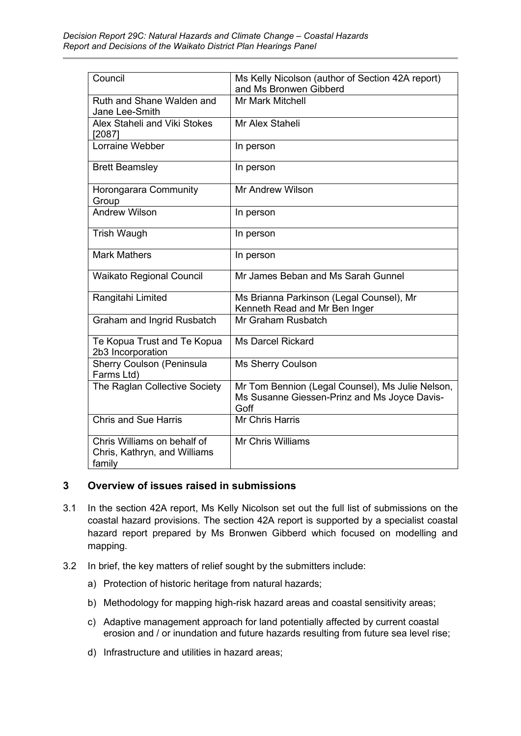| Council                                                               | Ms Kelly Nicolson (author of Section 42A report)<br>and Ms Bronwen Gibberd                               |
|-----------------------------------------------------------------------|----------------------------------------------------------------------------------------------------------|
| Ruth and Shane Walden and<br>Jane Lee-Smith                           | <b>Mr Mark Mitchell</b>                                                                                  |
| Alex Staheli and Viki Stokes<br>[2087]                                | Mr Alex Staheli                                                                                          |
| Lorraine Webber                                                       | In person                                                                                                |
| <b>Brett Beamsley</b>                                                 | In person                                                                                                |
| Horongarara Community<br>Group                                        | Mr Andrew Wilson                                                                                         |
| <b>Andrew Wilson</b>                                                  | In person                                                                                                |
| <b>Trish Waugh</b>                                                    | In person                                                                                                |
| <b>Mark Mathers</b>                                                   | In person                                                                                                |
| <b>Waikato Regional Council</b>                                       | Mr James Beban and Ms Sarah Gunnel                                                                       |
| Rangitahi Limited                                                     | Ms Brianna Parkinson (Legal Counsel), Mr<br>Kenneth Read and Mr Ben Inger                                |
| <b>Graham and Ingrid Rusbatch</b>                                     | Mr Graham Rusbatch                                                                                       |
| Te Kopua Trust and Te Kopua<br>2b3 Incorporation                      | <b>Ms Darcel Rickard</b>                                                                                 |
| Sherry Coulson (Peninsula<br>Farms Ltd)                               | Ms Sherry Coulson                                                                                        |
| The Raglan Collective Society                                         | Mr Tom Bennion (Legal Counsel), Ms Julie Nelson,<br>Ms Susanne Giessen-Prinz and Ms Joyce Davis-<br>Goff |
| <b>Chris and Sue Harris</b>                                           | Mr Chris Harris                                                                                          |
| Chris Williams on behalf of<br>Chris, Kathryn, and Williams<br>family | Mr Chris Williams                                                                                        |

## <span id="page-3-0"></span>**3 Overview of issues raised in submissions**

- 3.1 In the section 42A report, Ms Kelly Nicolson set out the full list of submissions on the coastal hazard provisions. The section 42A report is supported by a specialist coastal hazard report prepared by Ms Bronwen Gibberd which focused on modelling and mapping.
- 3.2 In brief, the key matters of relief sought by the submitters include:
	- a) Protection of historic heritage from natural hazards;
	- b) Methodology for mapping high-risk hazard areas and coastal sensitivity areas;
	- c) Adaptive management approach for land potentially affected by current coastal erosion and / or inundation and future hazards resulting from future sea level rise;
	- d) Infrastructure and utilities in hazard areas;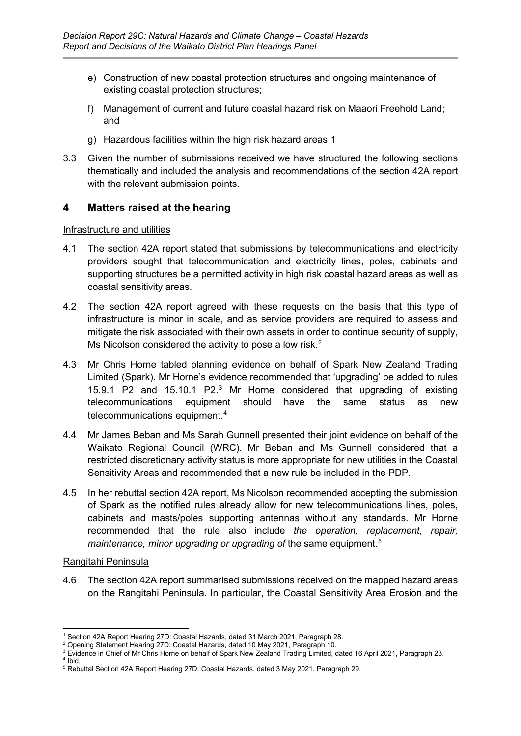- e) Construction of new coastal protection structures and ongoing maintenance of existing coastal protection structures;
- f) Management of current and future coastal hazard risk on Maaori Freehold Land; and
- g) Hazardous facilities within the high risk hazard areas.[1](#page-4-1)
- 3.3 Given the number of submissions received we have structured the following sections thematically and included the analysis and recommendations of the section 42A report with the relevant submission points.

## <span id="page-4-0"></span>**4 Matters raised at the hearing**

## Infrastructure and utilities

- 4.1 The section 42A report stated that submissions by telecommunications and electricity providers sought that telecommunication and electricity lines, poles, cabinets and supporting structures be a permitted activity in high risk coastal hazard areas as well as coastal sensitivity areas.
- 4.2 The section 42A report agreed with these requests on the basis that this type of infrastructure is minor in scale, and as service providers are required to assess and mitigate the risk associated with their own assets in order to continue security of supply, Ms Nicolson considered the activity to pose a low risk.<sup>[2](#page-4-2)</sup>
- 4.3 Mr Chris Horne tabled planning evidence on behalf of Spark New Zealand Trading Limited (Spark). Mr Horne's evidence recommended that 'upgrading' be added to rules 15.9.1 P2 and 15.10.1 P2. [3](#page-4-3) Mr Horne considered that upgrading of existing telecommunications equipment should have the same status as new telecommunications equipment. [4](#page-4-4)
- 4.4 Mr James Beban and Ms Sarah Gunnell presented their joint evidence on behalf of the Waikato Regional Council (WRC). Mr Beban and Ms Gunnell considered that a restricted discretionary activity status is more appropriate for new utilities in the Coastal Sensitivity Areas and recommended that a new rule be included in the PDP.
- 4.5 In her rebuttal section 42A report, Ms Nicolson recommended accepting the submission of Spark as the notified rules already allow for new telecommunications lines, poles, cabinets and masts/poles supporting antennas without any standards. Mr Horne recommended that the rule also include *the operation, replacement, repair, maintenance, minor upgrading or upgrading of* the same equipment. [5](#page-4-5)

## Rangitahi Peninsula

4.6 The section 42A report summarised submissions received on the mapped hazard areas on the Rangitahi Peninsula. In particular, the Coastal Sensitivity Area Erosion and the

<span id="page-4-1"></span><sup>1</sup> Section 42A Report Hearing 27D: Coastal Hazards, dated 31 March 2021, Paragraph 28.

<span id="page-4-2"></span><sup>2</sup> Opening Statement Hearing 27D: Coastal Hazards, dated 10 May 2021, Paragraph 10.

<span id="page-4-3"></span><sup>3</sup> Evidence in Chief of Mr Chris Horne on behalf of Spark New Zealand Trading Limited, dated 16 April 2021, Paragraph 23. <sup>4</sup> Ibid.

<span id="page-4-5"></span><span id="page-4-4"></span><sup>5</sup> Rebuttal Section 42A Report Hearing 27D: Coastal Hazards, dated 3 May 2021, Paragraph 29.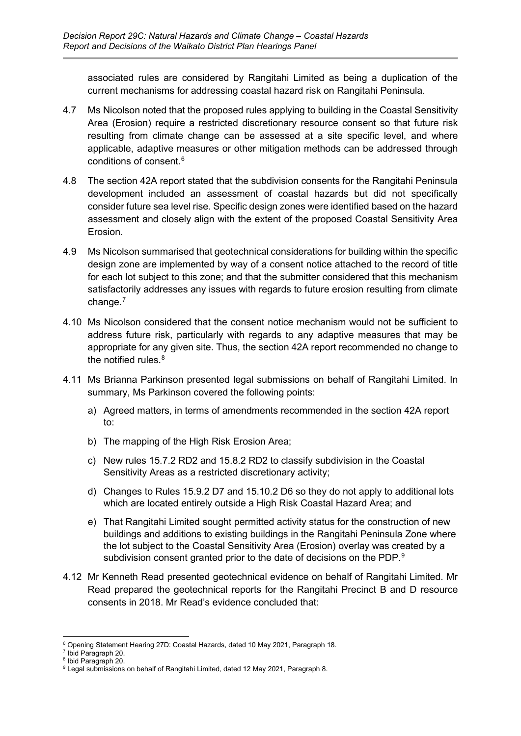associated rules are considered by Rangitahi Limited as being a duplication of the current mechanisms for addressing coastal hazard risk on Rangitahi Peninsula.

- 4.7 Ms Nicolson noted that the proposed rules applying to building in the Coastal Sensitivity Area (Erosion) require a restricted discretionary resource consent so that future risk resulting from climate change can be assessed at a site specific level, and where applicable, adaptive measures or other mitigation methods can be addressed through conditions of consent. [6](#page-5-0)
- 4.8 The section 42A report stated that the subdivision consents for the Rangitahi Peninsula development included an assessment of coastal hazards but did not specifically consider future sea level rise. Specific design zones were identified based on the hazard assessment and closely align with the extent of the proposed Coastal Sensitivity Area Erosion.
- 4.9 Ms Nicolson summarised that geotechnical considerations for building within the specific design zone are implemented by way of a consent notice attached to the record of title for each lot subject to this zone; and that the submitter considered that this mechanism satisfactorily addresses any issues with regards to future erosion resulting from climate change. [7](#page-5-1)
- 4.10 Ms Nicolson considered that the consent notice mechanism would not be sufficient to address future risk, particularly with regards to any adaptive measures that may be appropriate for any given site. Thus, the section 42A report recommended no change to the notified rules. [8](#page-5-2)
- 4.11 Ms Brianna Parkinson presented legal submissions on behalf of Rangitahi Limited. In summary, Ms Parkinson covered the following points:
	- a) Agreed matters, in terms of amendments recommended in the section 42A report to:
	- b) The mapping of the High Risk Erosion Area;
	- c) New rules 15.7.2 RD2 and 15.8.2 RD2 to classify subdivision in the Coastal Sensitivity Areas as a restricted discretionary activity;
	- d) Changes to Rules 15.9.2 D7 and 15.10.2 D6 so they do not apply to additional lots which are located entirely outside a High Risk Coastal Hazard Area; and
	- e) That Rangitahi Limited sought permitted activity status for the construction of new buildings and additions to existing buildings in the Rangitahi Peninsula Zone where the lot subject to the Coastal Sensitivity Area (Erosion) overlay was created by a subdivision consent granted prior to the date of decisions on the PDP. $^{\rm g}$
- 4.12 Mr Kenneth Read presented geotechnical evidence on behalf of Rangitahi Limited. Mr Read prepared the geotechnical reports for the Rangitahi Precinct B and D resource consents in 2018. Mr Read's evidence concluded that:

<span id="page-5-0"></span><sup>6</sup> Opening Statement Hearing 27D: Coastal Hazards, dated 10 May 2021, Paragraph 18.

<sup>7</sup> Ibid Paragraph 20.

<span id="page-5-2"></span><span id="page-5-1"></span><sup>8</sup> Ibid Paragraph 20.

<span id="page-5-3"></span><sup>&</sup>lt;sup>9</sup> Legal submissions on behalf of Rangitahi Limited, dated 12 May 2021, Paragraph 8.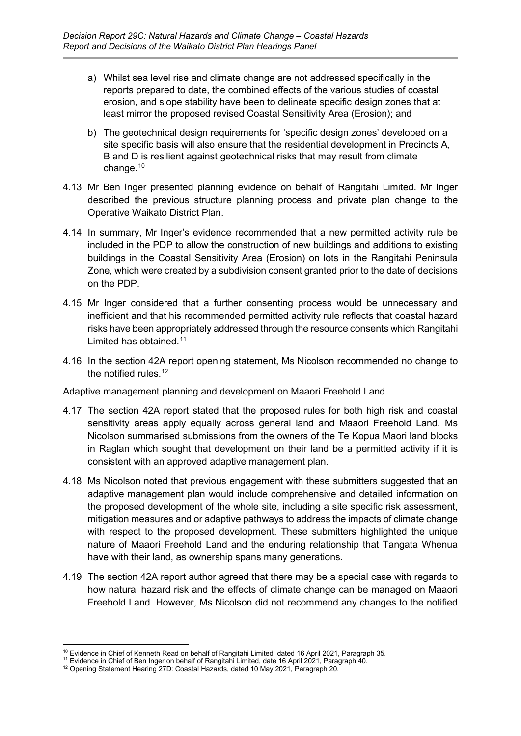- a) Whilst sea level rise and climate change are not addressed specifically in the reports prepared to date, the combined effects of the various studies of coastal erosion, and slope stability have been to delineate specific design zones that at least mirror the proposed revised Coastal Sensitivity Area (Erosion); and
- b) The geotechnical design requirements for 'specific design zones' developed on a site specific basis will also ensure that the residential development in Precincts A, B and D is resilient against geotechnical risks that may result from climate change. [10](#page-6-0)
- 4.13 Mr Ben Inger presented planning evidence on behalf of Rangitahi Limited. Mr Inger described the previous structure planning process and private plan change to the Operative Waikato District Plan.
- 4.14 In summary, Mr Inger's evidence recommended that a new permitted activity rule be included in the PDP to allow the construction of new buildings and additions to existing buildings in the Coastal Sensitivity Area (Erosion) on lots in the Rangitahi Peninsula Zone, which were created by a subdivision consent granted prior to the date of decisions on the PDP.
- 4.15 Mr Inger considered that a further consenting process would be unnecessary and inefficient and that his recommended permitted activity rule reflects that coastal hazard risks have been appropriately addressed through the resource consents which Rangitahi Limited has obtained. [11](#page-6-1)
- 4.16 In the section 42A report opening statement, Ms Nicolson recommended no change to the notified rules. [12](#page-6-2)

## Adaptive management planning and development on Maaori Freehold Land

- 4.17 The section 42A report stated that the proposed rules for both high risk and coastal sensitivity areas apply equally across general land and Maaori Freehold Land. Ms Nicolson summarised submissions from the owners of the Te Kopua Maori land blocks in Raglan which sought that development on their land be a permitted activity if it is consistent with an approved adaptive management plan.
- 4.18 Ms Nicolson noted that previous engagement with these submitters suggested that an adaptive management plan would include comprehensive and detailed information on the proposed development of the whole site, including a site specific risk assessment, mitigation measures and or adaptive pathways to address the impacts of climate change with respect to the proposed development. These submitters highlighted the unique nature of Maaori Freehold Land and the enduring relationship that Tangata Whenua have with their land, as ownership spans many generations.
- 4.19 The section 42A report author agreed that there may be a special case with regards to how natural hazard risk and the effects of climate change can be managed on Maaori Freehold Land. However, Ms Nicolson did not recommend any changes to the notified

<sup>10</sup> Evidence in Chief of Kenneth Read on behalf of Rangitahi Limited, dated 16 April 2021, Paragraph 35.

<span id="page-6-1"></span><span id="page-6-0"></span><sup>11</sup> Evidence in Chief of Ben Inger on behalf of Rangitahi Limited, date 16 April 2021, Paragraph 40.

<span id="page-6-2"></span><sup>12</sup> Opening Statement Hearing 27D: Coastal Hazards, dated 10 May 2021, Paragraph 20.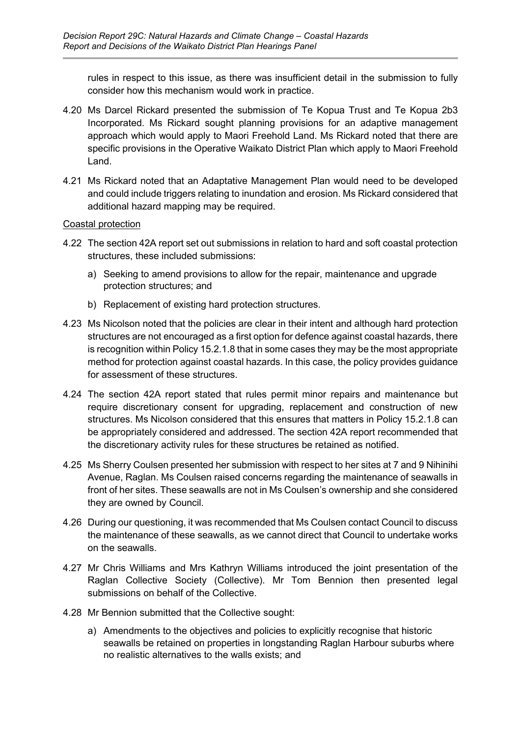rules in respect to this issue, as there was insufficient detail in the submission to fully consider how this mechanism would work in practice.

- 4.20 Ms Darcel Rickard presented the submission of Te Kopua Trust and Te Kopua 2b3 Incorporated. Ms Rickard sought planning provisions for an adaptive management approach which would apply to Maori Freehold Land. Ms Rickard noted that there are specific provisions in the Operative Waikato District Plan which apply to Maori Freehold Land.
- 4.21 Ms Rickard noted that an Adaptative Management Plan would need to be developed and could include triggers relating to inundation and erosion. Ms Rickard considered that additional hazard mapping may be required.

## Coastal protection

- 4.22 The section 42A report set out submissions in relation to hard and soft coastal protection structures, these included submissions:
	- a) Seeking to amend provisions to allow for the repair, maintenance and upgrade protection structures; and
	- b) Replacement of existing hard protection structures.
- 4.23 Ms Nicolson noted that the policies are clear in their intent and although hard protection structures are not encouraged as a first option for defence against coastal hazards, there is recognition within Policy 15.2.1.8 that in some cases they may be the most appropriate method for protection against coastal hazards. In this case, the policy provides guidance for assessment of these structures.
- 4.24 The section 42A report stated that rules permit minor repairs and maintenance but require discretionary consent for upgrading, replacement and construction of new structures. Ms Nicolson considered that this ensures that matters in Policy 15.2.1.8 can be appropriately considered and addressed. The section 42A report recommended that the discretionary activity rules for these structures be retained as notified.
- 4.25 Ms Sherry Coulsen presented her submission with respect to her sites at 7 and 9 Nihinihi Avenue, Raglan. Ms Coulsen raised concerns regarding the maintenance of seawalls in front of her sites. These seawalls are not in Ms Coulsen's ownership and she considered they are owned by Council.
- 4.26 During our questioning, it was recommended that Ms Coulsen contact Council to discuss the maintenance of these seawalls, as we cannot direct that Council to undertake works on the seawalls.
- 4.27 Mr Chris Williams and Mrs Kathryn Williams introduced the joint presentation of the Raglan Collective Society (Collective). Mr Tom Bennion then presented legal submissions on behalf of the Collective.
- 4.28 Mr Bennion submitted that the Collective sought:
	- a) Amendments to the objectives and policies to explicitly recognise that historic seawalls be retained on properties in longstanding Raglan Harbour suburbs where no realistic alternatives to the walls exists; and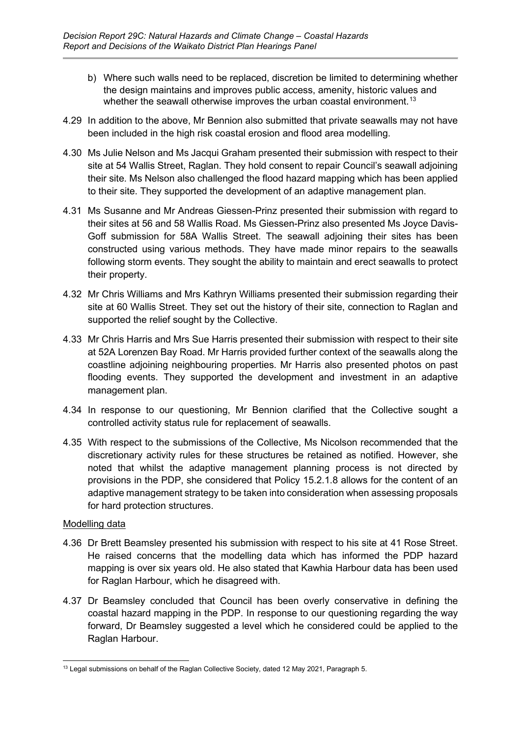- b) Where such walls need to be replaced, discretion be limited to determining whether the design maintains and improves public access, amenity, historic values and whether the seawall otherwise improves the urban coastal environment. $^{\rm 13}$  $^{\rm 13}$  $^{\rm 13}$
- 4.29 In addition to the above, Mr Bennion also submitted that private seawalls may not have been included in the high risk coastal erosion and flood area modelling.
- 4.30 Ms Julie Nelson and Ms Jacqui Graham presented their submission with respect to their site at 54 Wallis Street, Raglan. They hold consent to repair Council's seawall adjoining their site. Ms Nelson also challenged the flood hazard mapping which has been applied to their site. They supported the development of an adaptive management plan.
- 4.31 Ms Susanne and Mr Andreas Giessen-Prinz presented their submission with regard to their sites at 56 and 58 Wallis Road. Ms Giessen-Prinz also presented Ms Joyce Davis-Goff submission for 58A Wallis Street. The seawall adjoining their sites has been constructed using various methods. They have made minor repairs to the seawalls following storm events. They sought the ability to maintain and erect seawalls to protect their property.
- 4.32 Mr Chris Williams and Mrs Kathryn Williams presented their submission regarding their site at 60 Wallis Street. They set out the history of their site, connection to Raglan and supported the relief sought by the Collective.
- 4.33 Mr Chris Harris and Mrs Sue Harris presented their submission with respect to their site at 52A Lorenzen Bay Road. Mr Harris provided further context of the seawalls along the coastline adjoining neighbouring properties. Mr Harris also presented photos on past flooding events. They supported the development and investment in an adaptive management plan.
- 4.34 In response to our questioning, Mr Bennion clarified that the Collective sought a controlled activity status rule for replacement of seawalls.
- 4.35 With respect to the submissions of the Collective, Ms Nicolson recommended that the discretionary activity rules for these structures be retained as notified. However, she noted that whilst the adaptive management planning process is not directed by provisions in the PDP, she considered that Policy 15.2.1.8 allows for the content of an adaptive management strategy to be taken into consideration when assessing proposals for hard protection structures.

## Modelling data

- 4.36 Dr Brett Beamsley presented his submission with respect to his site at 41 Rose Street. He raised concerns that the modelling data which has informed the PDP hazard mapping is over six years old. He also stated that Kawhia Harbour data has been used for Raglan Harbour, which he disagreed with.
- 4.37 Dr Beamsley concluded that Council has been overly conservative in defining the coastal hazard mapping in the PDP. In response to our questioning regarding the way forward, Dr Beamsley suggested a level which he considered could be applied to the Raglan Harbour.

<span id="page-8-0"></span><sup>&</sup>lt;sup>13</sup> Legal submissions on behalf of the Raglan Collective Society, dated 12 May 2021, Paragraph 5.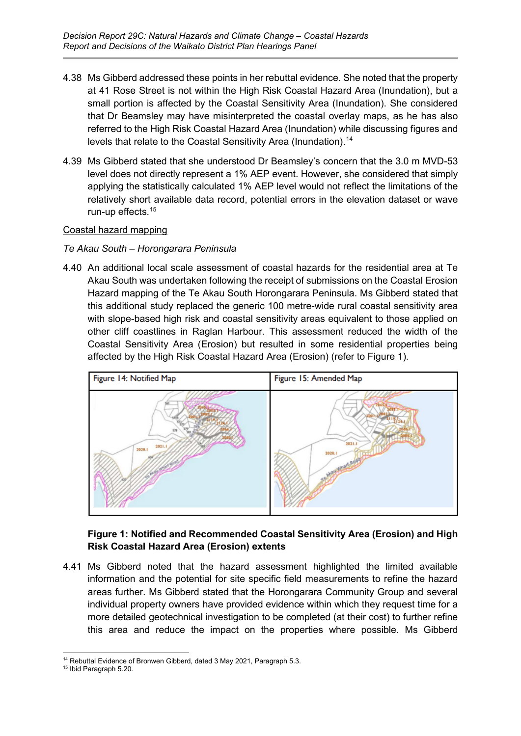- 4.38 Ms Gibberd addressed these points in her rebuttal evidence. She noted that the property at 41 Rose Street is not within the High Risk Coastal Hazard Area (Inundation), but a small portion is affected by the Coastal Sensitivity Area (Inundation). She considered that Dr Beamsley may have misinterpreted the coastal overlay maps, as he has also referred to the High Risk Coastal Hazard Area (Inundation) while discussing figures and levels that relate to the Coastal Sensitivity Area (Inundation). [14](#page-9-0)
- 4.39 Ms Gibberd stated that she understood Dr Beamsley's concern that the 3.0 m MVD-53 level does not directly represent a 1% AEP event. However, she considered that simply applying the statistically calculated 1% AEP level would not reflect the limitations of the relatively short available data record, potential errors in the elevation dataset or wave run-up effects. [15](#page-9-1)

## Coastal hazard mapping

## *Te Akau South – Horongarara Peninsula*

4.40 An additional local scale assessment of coastal hazards for the residential area at Te Akau South was undertaken following the receipt of submissions on the Coastal Erosion Hazard mapping of the Te Akau South Horongarara Peninsula. Ms Gibberd stated that this additional study replaced the generic 100 metre-wide rural coastal sensitivity area with slope-based high risk and coastal sensitivity areas equivalent to those applied on other cliff coastlines in Raglan Harbour. This assessment reduced the width of the Coastal Sensitivity Area (Erosion) but resulted in some residential properties being affected by the High Risk Coastal Hazard Area (Erosion) (refer to Figure 1).



## **Figure 1: Notified and Recommended Coastal Sensitivity Area (Erosion) and High Risk Coastal Hazard Area (Erosion) extents**

4.41 Ms Gibberd noted that the hazard assessment highlighted the limited available information and the potential for site specific field measurements to refine the hazard areas further. Ms Gibberd stated that the Horongarara Community Group and several individual property owners have provided evidence within which they request time for a more detailed geotechnical investigation to be completed (at their cost) to further refine this area and reduce the impact on the properties where possible. Ms Gibberd

<span id="page-9-1"></span><span id="page-9-0"></span><sup>&</sup>lt;sup>14</sup> Rebuttal Evidence of Bronwen Gibberd, dated 3 May 2021, Paragraph 5.3. <sup>15</sup> Ibid Paragraph 5.20.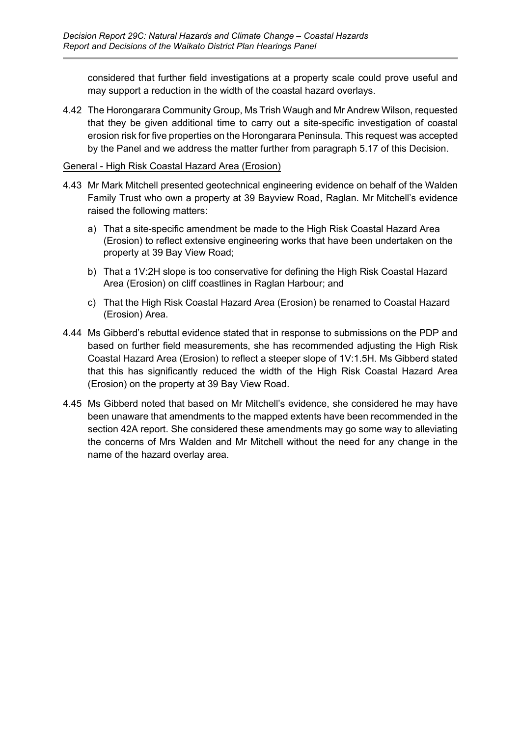considered that further field investigations at a property scale could prove useful and may support a reduction in the width of the coastal hazard overlays.

4.42 The Horongarara Community Group, Ms Trish Waugh and Mr Andrew Wilson, requested that they be given additional time to carry out a site-specific investigation of coastal erosion risk for five properties on the Horongarara Peninsula. This request was accepted by the Panel and we address the matter further from paragraph 5.17 of this Decision.

## General - High Risk Coastal Hazard Area (Erosion)

- 4.43 Mr Mark Mitchell presented geotechnical engineering evidence on behalf of the Walden Family Trust who own a property at 39 Bayview Road, Raglan. Mr Mitchell's evidence raised the following matters:
	- a) That a site-specific amendment be made to the High Risk Coastal Hazard Area (Erosion) to reflect extensive engineering works that have been undertaken on the property at 39 Bay View Road;
	- b) That a 1V:2H slope is too conservative for defining the High Risk Coastal Hazard Area (Erosion) on cliff coastlines in Raglan Harbour; and
	- c) That the High Risk Coastal Hazard Area (Erosion) be renamed to Coastal Hazard (Erosion) Area.
- 4.44 Ms Gibberd's rebuttal evidence stated that in response to submissions on the PDP and based on further field measurements, she has recommended adjusting the High Risk Coastal Hazard Area (Erosion) to reflect a steeper slope of 1V:1.5H. Ms Gibberd stated that this has significantly reduced the width of the High Risk Coastal Hazard Area (Erosion) on the property at 39 Bay View Road.
- 4.45 Ms Gibberd noted that based on Mr Mitchell's evidence, she considered he may have been unaware that amendments to the mapped extents have been recommended in the section 42A report. She considered these amendments may go some way to alleviating the concerns of Mrs Walden and Mr Mitchell without the need for any change in the name of the hazard overlay area.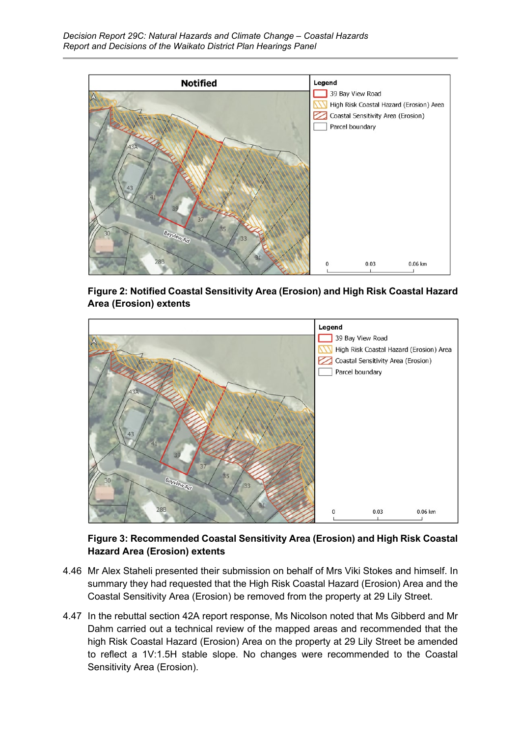

**Figure 2: Notified Coastal Sensitivity Area (Erosion) and High Risk Coastal Hazard Area (Erosion) extents**



## **Figure 3: Recommended Coastal Sensitivity Area (Erosion) and High Risk Coastal Hazard Area (Erosion) extents**

- 4.46 Mr Alex Staheli presented their submission on behalf of Mrs Viki Stokes and himself. In summary they had requested that the High Risk Coastal Hazard (Erosion) Area and the Coastal Sensitivity Area (Erosion) be removed from the property at 29 Lily Street.
- 4.47 In the rebuttal section 42A report response, Ms Nicolson noted that Ms Gibberd and Mr Dahm carried out a technical review of the mapped areas and recommended that the high Risk Coastal Hazard (Erosion) Area on the property at 29 Lily Street be amended to reflect a 1V:1.5H stable slope. No changes were recommended to the Coastal Sensitivity Area (Erosion).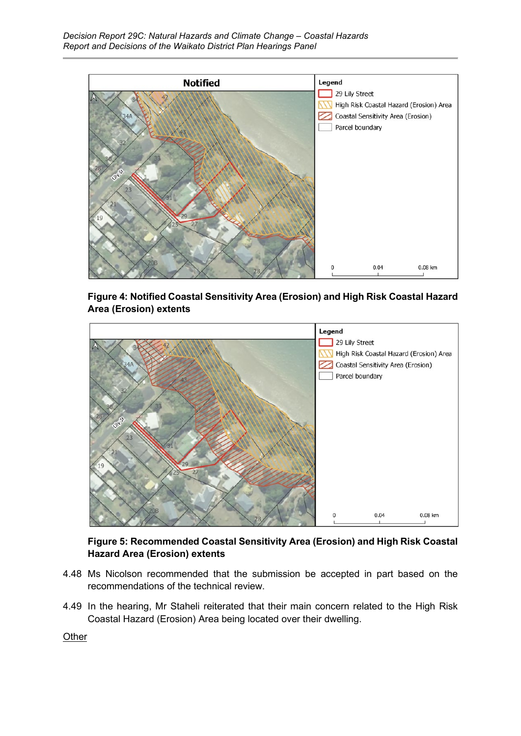

**Figure 4: Notified Coastal Sensitivity Area (Erosion) and High Risk Coastal Hazard Area (Erosion) extents**



**Figure 5: Recommended Coastal Sensitivity Area (Erosion) and High Risk Coastal Hazard Area (Erosion) extents**

- 4.48 Ms Nicolson recommended that the submission be accepted in part based on the recommendations of the technical review.
- 4.49 In the hearing, Mr Staheli reiterated that their main concern related to the High Risk Coastal Hazard (Erosion) Area being located over their dwelling.

**Other**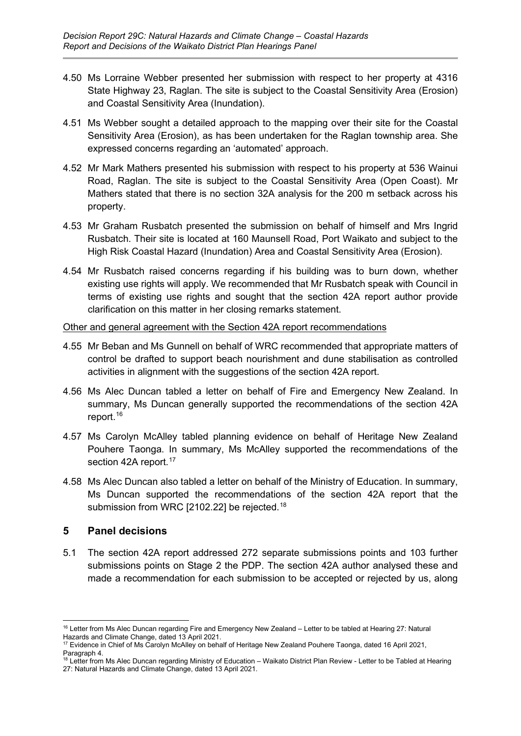- 4.50 Ms Lorraine Webber presented her submission with respect to her property at 4316 State Highway 23, Raglan. The site is subject to the Coastal Sensitivity Area (Erosion) and Coastal Sensitivity Area (Inundation).
- 4.51 Ms Webber sought a detailed approach to the mapping over their site for the Coastal Sensitivity Area (Erosion), as has been undertaken for the Raglan township area. She expressed concerns regarding an 'automated' approach.
- 4.52 Mr Mark Mathers presented his submission with respect to his property at 536 Wainui Road, Raglan. The site is subject to the Coastal Sensitivity Area (Open Coast). Mr Mathers stated that there is no section 32A analysis for the 200 m setback across his property.
- 4.53 Mr Graham Rusbatch presented the submission on behalf of himself and Mrs Ingrid Rusbatch. Their site is located at 160 Maunsell Road, Port Waikato and subject to the High Risk Coastal Hazard (Inundation) Area and Coastal Sensitivity Area (Erosion).
- 4.54 Mr Rusbatch raised concerns regarding if his building was to burn down, whether existing use rights will apply. We recommended that Mr Rusbatch speak with Council in terms of existing use rights and sought that the section 42A report author provide clarification on this matter in her closing remarks statement.

## Other and general agreement with the Section 42A report recommendations

- 4.55 Mr Beban and Ms Gunnell on behalf of WRC recommended that appropriate matters of control be drafted to support beach nourishment and dune stabilisation as controlled activities in alignment with the suggestions of the section 42A report.
- 4.56 Ms Alec Duncan tabled a letter on behalf of Fire and Emergency New Zealand. In summary, Ms Duncan generally supported the recommendations of the section 42A report.<sup>[16](#page-13-1)</sup>
- 4.57 Ms Carolyn McAlley tabled planning evidence on behalf of Heritage New Zealand Pouhere Taonga. In summary, Ms McAlley supported the recommendations of the section 42A report.<sup>[17](#page-13-2)</sup>
- 4.58 Ms Alec Duncan also tabled a letter on behalf of the Ministry of Education. In summary, Ms Duncan supported the recommendations of the section 42A report that the submission from WRC [2102.22] be rejected. [18](#page-13-3)

## <span id="page-13-0"></span>**5 Panel decisions**

5.1 The section 42A report addressed 272 separate submissions points and 103 further submissions points on Stage 2 the PDP. The section 42A author analysed these and made a recommendation for each submission to be accepted or rejected by us, along

<span id="page-13-1"></span><sup>16</sup> Letter from Ms Alec Duncan regarding Fire and Emergency New Zealand – Letter to be tabled at Hearing 27: Natural Hazards and Climate Change, dated 13 April 2021.

<span id="page-13-2"></span><sup>&</sup>lt;sup>17</sup> Evidence in Chief of Ms Carolyn McAlley on behalf of Heritage New Zealand Pouhere Taonga, dated 16 April 2021, Paragraph 4.

<span id="page-13-3"></span><sup>18</sup> Letter from Ms Alec Duncan regarding Ministry of Education – Waikato District Plan Review - Letter to be Tabled at Hearing 27: Natural Hazards and Climate Change, dated 13 April 2021.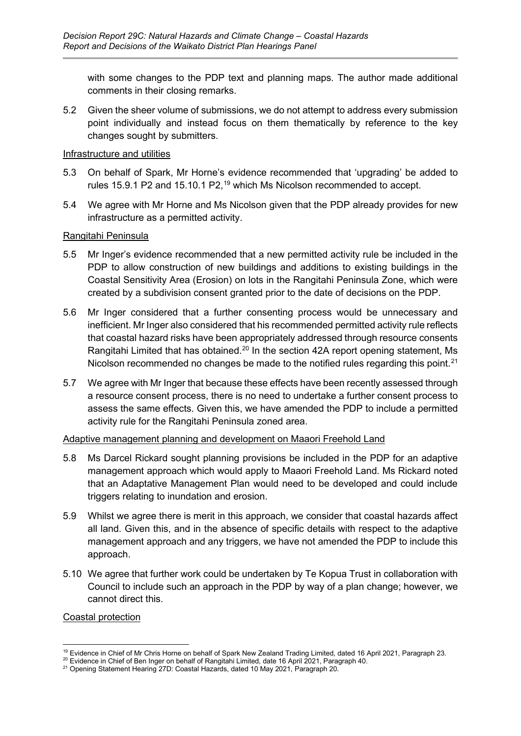with some changes to the PDP text and planning maps. The author made additional comments in their closing remarks.

5.2 Given the sheer volume of submissions, we do not attempt to address every submission point individually and instead focus on them thematically by reference to the key changes sought by submitters.

#### Infrastructure and utilities

- 5.3 On behalf of Spark, Mr Horne's evidence recommended that 'upgrading' be added to rules 15.9.1 P2 and 15.10.1 P2,<sup>[19](#page-14-0)</sup> which Ms Nicolson recommended to accept.
- 5.4 We agree with Mr Horne and Ms Nicolson given that the PDP already provides for new infrastructure as a permitted activity.

## Rangitahi Peninsula

- 5.5 Mr Inger's evidence recommended that a new permitted activity rule be included in the PDP to allow construction of new buildings and additions to existing buildings in the Coastal Sensitivity Area (Erosion) on lots in the Rangitahi Peninsula Zone, which were created by a subdivision consent granted prior to the date of decisions on the PDP.
- 5.6 Mr Inger considered that a further consenting process would be unnecessary and inefficient. Mr Inger also considered that his recommended permitted activity rule reflects that coastal hazard risks have been appropriately addressed through resource consents Rangitahi Limited that has obtained.<sup>[20](#page-14-1)</sup> In the section 42A report opening statement, Ms Nicolson recommended no changes be made to the notified rules regarding this point.<sup>[21](#page-14-2)</sup>
- 5.7 We agree with Mr Inger that because these effects have been recently assessed through a resource consent process, there is no need to undertake a further consent process to assess the same effects. Given this, we have amended the PDP to include a permitted activity rule for the Rangitahi Peninsula zoned area.

## Adaptive management planning and development on Maaori Freehold Land

- 5.8 Ms Darcel Rickard sought planning provisions be included in the PDP for an adaptive management approach which would apply to Maaori Freehold Land. Ms Rickard noted that an Adaptative Management Plan would need to be developed and could include triggers relating to inundation and erosion.
- 5.9 Whilst we agree there is merit in this approach, we consider that coastal hazards affect all land. Given this, and in the absence of specific details with respect to the adaptive management approach and any triggers, we have not amended the PDP to include this approach.
- 5.10 We agree that further work could be undertaken by Te Kopua Trust in collaboration with Council to include such an approach in the PDP by way of a plan change; however, we cannot direct this.

## Coastal protection

<span id="page-14-0"></span><sup>19</sup> Evidence in Chief of Mr Chris Horne on behalf of Spark New Zealand Trading Limited, dated 16 April 2021, Paragraph 23.

<span id="page-14-1"></span><sup>&</sup>lt;sup>20</sup> Evidence in Chief of Ben Inger on behalf of Rangitahi Limited, date 16 April 2021, Paragraph 40.

<span id="page-14-2"></span><sup>21</sup> Opening Statement Hearing 27D: Coastal Hazards, dated 10 May 2021, Paragraph 20.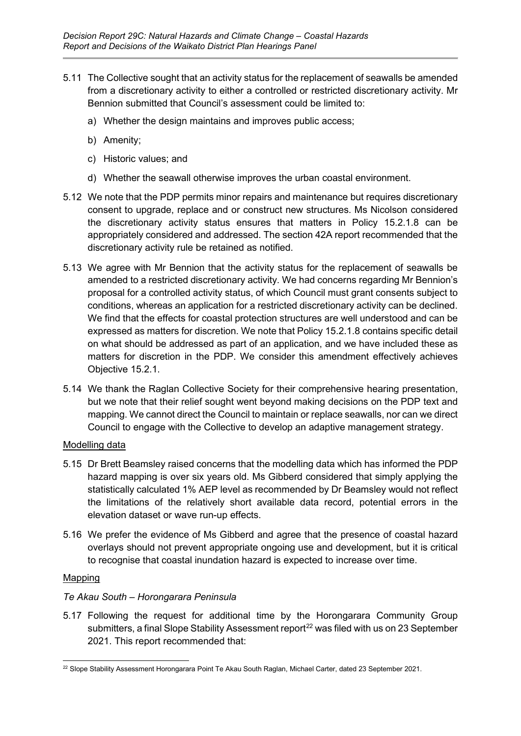- 5.11 The Collective sought that an activity status for the replacement of seawalls be amended from a discretionary activity to either a controlled or restricted discretionary activity. Mr Bennion submitted that Council's assessment could be limited to:
	- a) Whether the design maintains and improves public access;
	- b) Amenity;
	- c) Historic values; and
	- d) Whether the seawall otherwise improves the urban coastal environment.
- 5.12 We note that the PDP permits minor repairs and maintenance but requires discretionary consent to upgrade, replace and or construct new structures. Ms Nicolson considered the discretionary activity status ensures that matters in Policy 15.2.1.8 can be appropriately considered and addressed. The section 42A report recommended that the discretionary activity rule be retained as notified.
- 5.13 We agree with Mr Bennion that the activity status for the replacement of seawalls be amended to a restricted discretionary activity. We had concerns regarding Mr Bennion's proposal for a controlled activity status, of which Council must grant consents subject to conditions, whereas an application for a restricted discretionary activity can be declined. We find that the effects for coastal protection structures are well understood and can be expressed as matters for discretion. We note that Policy 15.2.1.8 contains specific detail on what should be addressed as part of an application, and we have included these as matters for discretion in the PDP. We consider this amendment effectively achieves Objective 15.2.1.
- 5.14 We thank the Raglan Collective Society for their comprehensive hearing presentation, but we note that their relief sought went beyond making decisions on the PDP text and mapping. We cannot direct the Council to maintain or replace seawalls, nor can we direct Council to engage with the Collective to develop an adaptive management strategy.

## Modelling data

- 5.15 Dr Brett Beamsley raised concerns that the modelling data which has informed the PDP hazard mapping is over six years old. Ms Gibberd considered that simply applying the statistically calculated 1% AEP level as recommended by Dr Beamsley would not reflect the limitations of the relatively short available data record, potential errors in the elevation dataset or wave run-up effects.
- 5.16 We prefer the evidence of Ms Gibberd and agree that the presence of coastal hazard overlays should not prevent appropriate ongoing use and development, but it is critical to recognise that coastal inundation hazard is expected to increase over time.

## Mapping

## *Te Akau South – Horongarara Peninsula*

5.17 Following the request for additional time by the Horongarara Community Group submitters, a final Slope Stability Assessment report<sup>[22](#page-15-0)</sup> was filed with us on 23 September 2021. This report recommended that:

<span id="page-15-0"></span><sup>&</sup>lt;sup>22</sup> Slope Stability Assessment Horongarara Point Te Akau South Raglan, Michael Carter, dated 23 September 2021.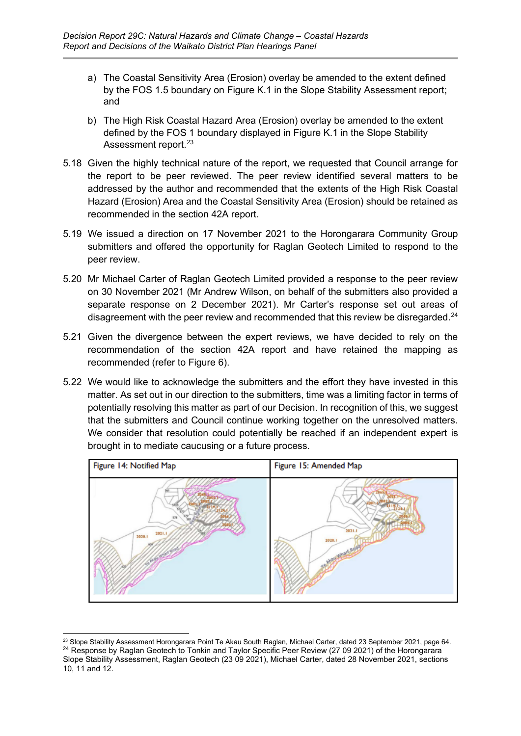- a) The Coastal Sensitivity Area (Erosion) overlay be amended to the extent defined by the FOS 1.5 boundary on Figure K.1 in the Slope Stability Assessment report; and
- b) The High Risk Coastal Hazard Area (Erosion) overlay be amended to the extent defined by the FOS 1 boundary displayed in Figure K.1 in the Slope Stability Assessment report.<sup>[23](#page-16-0)</sup>
- 5.18 Given the highly technical nature of the report, we requested that Council arrange for the report to be peer reviewed. The peer review identified several matters to be addressed by the author and recommended that the extents of the High Risk Coastal Hazard (Erosion) Area and the Coastal Sensitivity Area (Erosion) should be retained as recommended in the section 42A report.
- 5.19 We issued a direction on 17 November 2021 to the Horongarara Community Group submitters and offered the opportunity for Raglan Geotech Limited to respond to the peer review.
- 5.20 Mr Michael Carter of Raglan Geotech Limited provided a response to the peer review on 30 November 2021 (Mr Andrew Wilson, on behalf of the submitters also provided a separate response on 2 December 2021). Mr Carter's response set out areas of disagreement with the peer review and recommended that this review be disregarded. [24](#page-16-1)
- 5.21 Given the divergence between the expert reviews, we have decided to rely on the recommendation of the section 42A report and have retained the mapping as recommended (refer to Figure 6).
- 5.22 We would like to acknowledge the submitters and the effort they have invested in this matter. As set out in our direction to the submitters, time was a limiting factor in terms of potentially resolving this matter as part of our Decision. In recognition of this, we suggest that the submitters and Council continue working together on the unresolved matters. We consider that resolution could potentially be reached if an independent expert is brought in to mediate caucusing or a future process.



<span id="page-16-1"></span><span id="page-16-0"></span><sup>&</sup>lt;sup>23</sup> Slope Stability Assessment Horongarara Point Te Akau South Raglan, Michael Carter, dated 23 September 2021, page 64. <sup>24</sup> Response by Raglan Geotech to Tonkin and Taylor Specific Peer Review (27 09 2021) of the Horongarara Slope Stability Assessment, Raglan Geotech (23 09 2021), Michael Carter, dated 28 November 2021, sections 10, 11 and 12.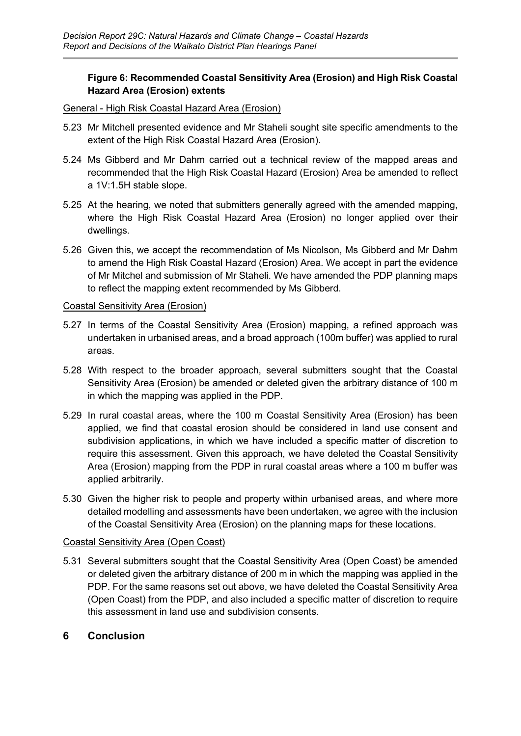## **Figure 6: Recommended Coastal Sensitivity Area (Erosion) and High Risk Coastal Hazard Area (Erosion) extents**

#### General - High Risk Coastal Hazard Area (Erosion)

- 5.23 Mr Mitchell presented evidence and Mr Staheli sought site specific amendments to the extent of the High Risk Coastal Hazard Area (Erosion).
- 5.24 Ms Gibberd and Mr Dahm carried out a technical review of the mapped areas and recommended that the High Risk Coastal Hazard (Erosion) Area be amended to reflect a 1V:1.5H stable slope.
- 5.25 At the hearing, we noted that submitters generally agreed with the amended mapping, where the High Risk Coastal Hazard Area (Erosion) no longer applied over their dwellings.
- 5.26 Given this, we accept the recommendation of Ms Nicolson, Ms Gibberd and Mr Dahm to amend the High Risk Coastal Hazard (Erosion) Area. We accept in part the evidence of Mr Mitchel and submission of Mr Staheli. We have amended the PDP planning maps to reflect the mapping extent recommended by Ms Gibberd.

#### Coastal Sensitivity Area (Erosion)

- 5.27 In terms of the Coastal Sensitivity Area (Erosion) mapping, a refined approach was undertaken in urbanised areas, and a broad approach (100m buffer) was applied to rural areas.
- 5.28 With respect to the broader approach, several submitters sought that the Coastal Sensitivity Area (Erosion) be amended or deleted given the arbitrary distance of 100 m in which the mapping was applied in the PDP.
- 5.29 In rural coastal areas, where the 100 m Coastal Sensitivity Area (Erosion) has been applied, we find that coastal erosion should be considered in land use consent and subdivision applications, in which we have included a specific matter of discretion to require this assessment. Given this approach, we have deleted the Coastal Sensitivity Area (Erosion) mapping from the PDP in rural coastal areas where a 100 m buffer was applied arbitrarily.
- 5.30 Given the higher risk to people and property within urbanised areas, and where more detailed modelling and assessments have been undertaken, we agree with the inclusion of the Coastal Sensitivity Area (Erosion) on the planning maps for these locations.

## Coastal Sensitivity Area (Open Coast)

5.31 Several submitters sought that the Coastal Sensitivity Area (Open Coast) be amended or deleted given the arbitrary distance of 200 m in which the mapping was applied in the PDP. For the same reasons set out above, we have deleted the Coastal Sensitivity Area (Open Coast) from the PDP, and also included a specific matter of discretion to require this assessment in land use and subdivision consents.

## <span id="page-17-0"></span>**6 Conclusion**